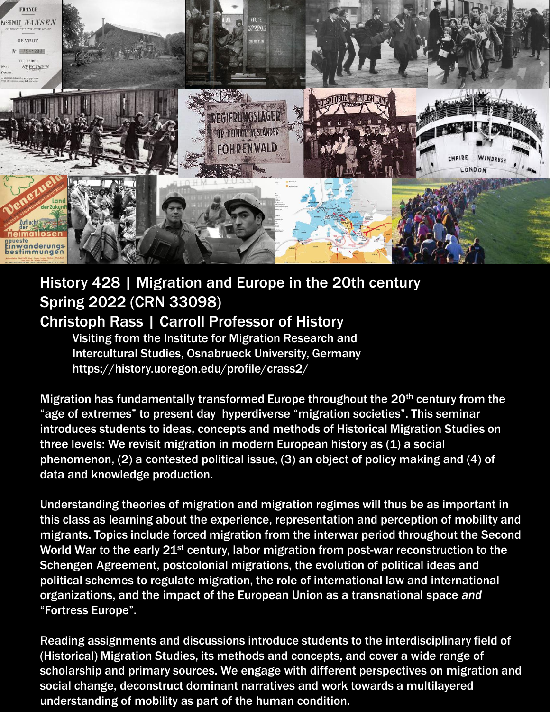

# History 428 | Migration and Europe in the 20th century Spring 2022 (CRN 33098) Christoph Rass | Carroll Professor of History

Visiting from the Institute for Migration Research and Intercultural Studies, Osnabrueck University, Germany https://history.uoregon.edu/profile/crass2/

Migration has fundamentally transformed Europe throughout the 20<sup>th</sup> century from the "age of extremes" to present day hyperdiverse "migration societies". This seminar introduces students to ideas, concepts and methods of Historical Migration Studies on three levels: We revisit migration in modern European history as (1) a social phenomenon, (2) a contested political issue, (3) an object of policy making and (4) of data and knowledge production.

Understanding theories of migration and migration regimes will thus be as important in this class as learning about the experience, representation and perception of mobility and migrants. Topics include forced migration from the interwar period throughout the Second World War to the early 21<sup>st</sup> century, labor migration from post-war reconstruction to the Schengen Agreement, postcolonial migrations, the evolution of political ideas and political schemes to regulate migration, the role of international law and international organizations, and the impact of the European Union as a transnational space *and* "Fortress Europe".

Reading assignments and discussions introduce students to the interdisciplinary field of (Historical) Migration Studies, its methods and concepts, and cover a wide range of scholarship and primary sources. We engage with different perspectives on migration and social change, deconstruct dominant narratives and work towards a multilayered understanding of mobility as part of the human condition.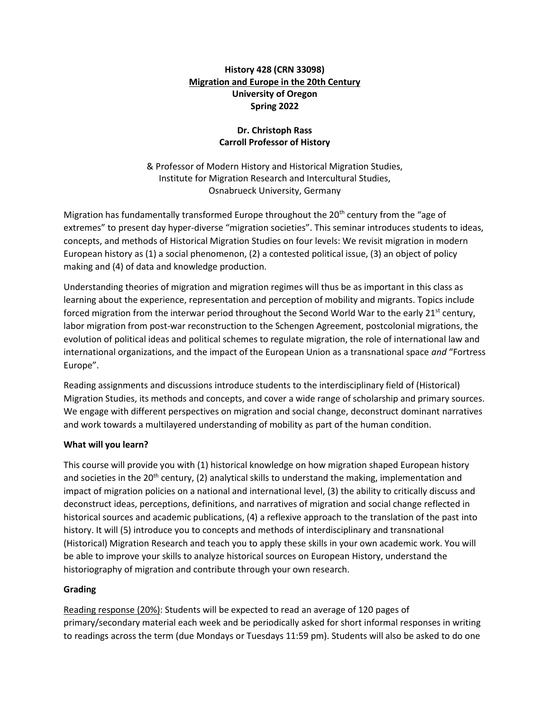# **History 428 (CRN 33098) Migration and Europe in the 20th Century University of Oregon Spring 2022**

# **Dr. Christoph Rass Carroll Professor of History**

& Professor of Modern History and Historical Migration Studies, Institute for Migration Research and Intercultural Studies, Osnabrueck University, Germany

Migration has fundamentally transformed Europe throughout the 20<sup>th</sup> century from the "age of extremes" to present day hyper-diverse "migration societies". This seminar introduces students to ideas, concepts, and methods of Historical Migration Studies on four levels: We revisit migration in modern European history as (1) a social phenomenon, (2) a contested political issue, (3) an object of policy making and (4) of data and knowledge production.

Understanding theories of migration and migration regimes will thus be as important in this class as learning about the experience, representation and perception of mobility and migrants. Topics include forced migration from the interwar period throughout the Second World War to the early 21<sup>st</sup> century, labor migration from post-war reconstruction to the Schengen Agreement, postcolonial migrations, the evolution of political ideas and political schemes to regulate migration, the role of international law and international organizations, and the impact of the European Union as a transnational space *and* "Fortress Europe".

Reading assignments and discussions introduce students to the interdisciplinary field of (Historical) Migration Studies, its methods and concepts, and cover a wide range of scholarship and primary sources. We engage with different perspectives on migration and social change, deconstruct dominant narratives and work towards a multilayered understanding of mobility as part of the human condition.

## **What will you learn?**

This course will provide you with (1) historical knowledge on how migration shaped European history and societies in the 20<sup>th</sup> century, (2) analytical skills to understand the making, implementation and impact of migration policies on a national and international level, (3) the ability to critically discuss and deconstruct ideas, perceptions, definitions, and narratives of migration and social change reflected in historical sources and academic publications, (4) a reflexive approach to the translation of the past into history. It will (5) introduce you to concepts and methods of interdisciplinary and transnational (Historical) Migration Research and teach you to apply these skills in your own academic work. You will be able to improve your skills to analyze historical sources on European History, understand the historiography of migration and contribute through your own research.

#### **Grading**

Reading response (20%): Students will be expected to read an average of 120 pages of primary/secondary material each week and be periodically asked for short informal responses in writing to readings across the term (due Mondays or Tuesdays 11:59 pm). Students will also be asked to do one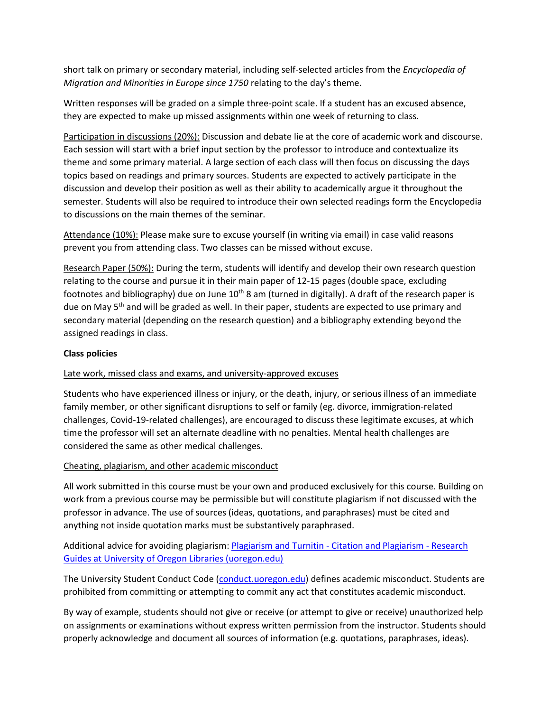short talk on primary or secondary material, including self-selected articles from the *Encyclopedia of Migration and Minorities in Europe since 1750* relating to the day's theme.

Written responses will be graded on a simple three-point scale. If a student has an excused absence, they are expected to make up missed assignments within one week of returning to class.

Participation in discussions (20%): Discussion and debate lie at the core of academic work and discourse. Each session will start with a brief input section by the professor to introduce and contextualize its theme and some primary material. A large section of each class will then focus on discussing the days topics based on readings and primary sources. Students are expected to actively participate in the discussion and develop their position as well as their ability to academically argue it throughout the semester. Students will also be required to introduce their own selected readings form the Encyclopedia to discussions on the main themes of the seminar.

Attendance (10%): Please make sure to excuse yourself (in writing via email) in case valid reasons prevent you from attending class. Two classes can be missed without excuse.

Research Paper (50%): During the term, students will identify and develop their own research question relating to the course and pursue it in their main paper of 12-15 pages (double space, excluding footnotes and bibliography) due on June  $10^{th}$  8 am (turned in digitally). A draft of the research paper is due on May  $5<sup>th</sup>$  and will be graded as well. In their paper, students are expected to use primary and secondary material (depending on the research question) and a bibliography extending beyond the assigned readings in class.

## **Class policies**

## Late work, missed class and exams, and university-approved excuses

Students who have experienced illness or injury, or the death, injury, or serious illness of an immediate family member, or other significant disruptions to self or family (eg. divorce, immigration-related challenges, Covid-19-related challenges), are encouraged to discuss these legitimate excuses, at which time the professor will set an alternate deadline with no penalties. Mental health challenges are considered the same as other medical challenges.

#### Cheating, plagiarism, and other academic misconduct

All work submitted in this course must be your own and produced exclusively for this course. Building on work from a previous course may be permissible but will constitute plagiarism if not discussed with the professor in advance. The use of sources (ideas, quotations, and paraphrases) must be cited and anything not inside quotation marks must be substantively paraphrased.

# Additional advice for avoiding plagiarism: [Plagiarism and Turnitin -](https://researchguides.uoregon.edu/citing-plagiarism/plagiarism) Citation and Plagiarism - Research [Guides at University of Oregon Libraries \(uoregon.edu\)](https://researchguides.uoregon.edu/citing-plagiarism/plagiarism)

The University Student Conduct Code [\(conduct.uoregon.edu\)](https://dos.uoregon.edu/conduct) defines academic misconduct. Students are prohibited from committing or attempting to commit any act that constitutes academic misconduct.

By way of example, students should not give or receive (or attempt to give or receive) unauthorized help on assignments or examinations without express written permission from the instructor. Students should properly acknowledge and document all sources of information (e.g. quotations, paraphrases, ideas).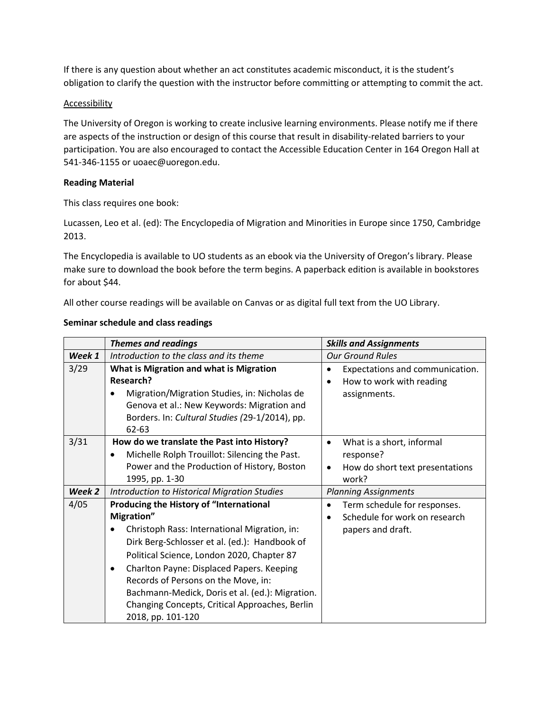If there is any question about whether an act constitutes academic misconduct, it is the student's obligation to clarify the question with the instructor before committing or attempting to commit the act.

#### **Accessibility**

The University of Oregon is working to create inclusive learning environments. Please notify me if there are aspects of the instruction or design of this course that result in disability-related barriers to your participation. You are also encouraged to contact the Accessible Education Center in 164 Oregon Hall at 541-346-1155 or uoaec@uoregon.edu.

#### **Reading Material**

This class requires one book:

Lucassen, Leo et al. (ed): The Encyclopedia of Migration and Minorities in Europe since 1750, Cambridge 2013.

The Encyclopedia is available to UO students as an ebook via the University of Oregon's library. Please make sure to download the book before the term begins. A paperback edition is available in bookstores for about \$44.

All other course readings will be available on Canvas or as digital full text from the UO Library.

|        | <b>Themes and readings</b>                      | <b>Skills and Assignments</b>             |
|--------|-------------------------------------------------|-------------------------------------------|
| Week 1 | Introduction to the class and its theme         | <b>Our Ground Rules</b>                   |
| 3/29   | What is Migration and what is Migration         | Expectations and communication.           |
|        | <b>Research?</b>                                | How to work with reading                  |
|        | Migration/Migration Studies, in: Nicholas de    | assignments.                              |
|        | Genova et al.: New Keywords: Migration and      |                                           |
|        | Borders. In: Cultural Studies (29-1/2014), pp.  |                                           |
|        | 62-63                                           |                                           |
| 3/31   | How do we translate the Past into History?      | What is a short, informal<br>$\bullet$    |
|        | Michelle Rolph Trouillot: Silencing the Past.   | response?                                 |
|        | Power and the Production of History, Boston     | How do short text presentations<br>٠      |
|        | 1995, pp. 1-30                                  | work?                                     |
| Week 2 | Introduction to Historical Migration Studies    | <b>Planning Assignments</b>               |
| 4/05   | Producing the History of "International         | Term schedule for responses.<br>$\bullet$ |
|        | Migration"                                      | Schedule for work on research             |
|        | Christoph Rass: International Migration, in:    | papers and draft.                         |
|        | Dirk Berg-Schlosser et al. (ed.): Handbook of   |                                           |
|        | Political Science, London 2020, Chapter 87      |                                           |
|        | Charlton Payne: Displaced Papers. Keeping<br>٠  |                                           |
|        | Records of Persons on the Move, in:             |                                           |
|        | Bachmann-Medick, Doris et al. (ed.): Migration. |                                           |
|        | Changing Concepts, Critical Approaches, Berlin  |                                           |
|        | 2018, pp. 101-120                               |                                           |

#### **Seminar schedule and class readings**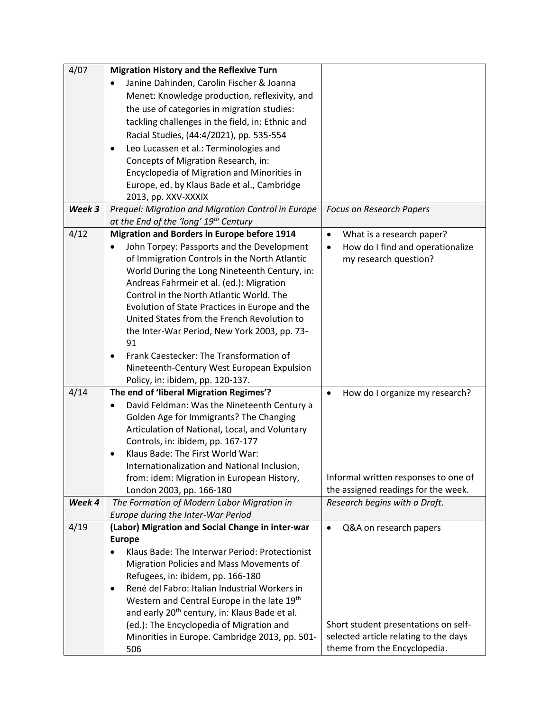| 4/07   | <b>Migration History and the Reflexive Turn</b>                                            |                                               |
|--------|--------------------------------------------------------------------------------------------|-----------------------------------------------|
|        | Janine Dahinden, Carolin Fischer & Joanna                                                  |                                               |
|        | Menet: Knowledge production, reflexivity, and                                              |                                               |
|        | the use of categories in migration studies:                                                |                                               |
|        | tackling challenges in the field, in: Ethnic and                                           |                                               |
|        | Racial Studies, (44:4/2021), pp. 535-554                                                   |                                               |
|        | Leo Lucassen et al.: Terminologies and<br>$\bullet$                                        |                                               |
|        | Concepts of Migration Research, in:                                                        |                                               |
|        | Encyclopedia of Migration and Minorities in                                                |                                               |
|        | Europe, ed. by Klaus Bade et al., Cambridge                                                |                                               |
|        | 2013, pp. XXV-XXXIX                                                                        |                                               |
| Week 3 | Prequel: Migration and Migration Control in Europe                                         | <b>Focus on Research Papers</b>               |
|        | at the End of the 'long' 19 <sup>th</sup> Century                                          |                                               |
| 4/12   | <b>Migration and Borders in Europe before 1914</b>                                         | What is a research paper?<br>$\bullet$        |
|        | John Torpey: Passports and the Development                                                 | How do I find and operationalize<br>$\bullet$ |
|        | of Immigration Controls in the North Atlantic                                              | my research question?                         |
|        | World During the Long Nineteenth Century, in:                                              |                                               |
|        | Andreas Fahrmeir et al. (ed.): Migration                                                   |                                               |
|        | Control in the North Atlantic World. The                                                   |                                               |
|        | Evolution of State Practices in Europe and the                                             |                                               |
|        | United States from the French Revolution to                                                |                                               |
|        | the Inter-War Period, New York 2003, pp. 73-                                               |                                               |
|        | 91                                                                                         |                                               |
|        | Frank Caestecker: The Transformation of                                                    |                                               |
|        | Nineteenth-Century West European Expulsion                                                 |                                               |
|        | Policy, in: ibidem, pp. 120-137.                                                           |                                               |
| 4/14   | The end of 'liberal Migration Regimes'?                                                    | How do I organize my research?<br>$\bullet$   |
|        | David Feldman: Was the Nineteenth Century a                                                |                                               |
|        | Golden Age for Immigrants? The Changing                                                    |                                               |
|        | Articulation of National, Local, and Voluntary                                             |                                               |
|        | Controls, in: ibidem, pp. 167-177<br>Klaus Bade: The First World War:                      |                                               |
|        |                                                                                            |                                               |
|        | Internationalization and National Inclusion,<br>from: idem: Migration in European History, | Informal written responses to one of          |
|        | London 2003, pp. 166-180                                                                   | the assigned readings for the week.           |
| Week 4 | The Formation of Modern Labor Migration in                                                 | Research begins with a Draft.                 |
|        | Europe during the Inter-War Period                                                         |                                               |
| 4/19   | (Labor) Migration and Social Change in inter-war                                           | Q&A on research papers                        |
|        | <b>Europe</b>                                                                              |                                               |
|        | Klaus Bade: The Interwar Period: Protectionist<br>$\bullet$                                |                                               |
|        | Migration Policies and Mass Movements of                                                   |                                               |
|        | Refugees, in: ibidem, pp. 166-180                                                          |                                               |
|        | René del Fabro: Italian Industrial Workers in<br>$\bullet$                                 |                                               |
|        | Western and Central Europe in the late 19th                                                |                                               |
|        | and early 20 <sup>th</sup> century, in: Klaus Bade et al.                                  |                                               |
|        | (ed.): The Encyclopedia of Migration and                                                   | Short student presentations on self-          |
|        | Minorities in Europe. Cambridge 2013, pp. 501-                                             | selected article relating to the days         |
|        | 506                                                                                        | theme from the Encyclopedia.                  |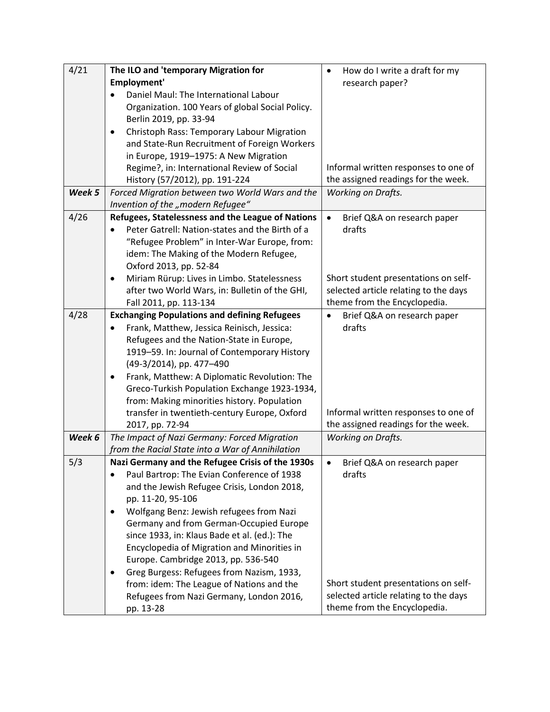| 4/21   | The ILO and 'temporary Migration for                                                    | How do I write a draft for my<br>$\bullet$ |
|--------|-----------------------------------------------------------------------------------------|--------------------------------------------|
|        | Employment'                                                                             | research paper?                            |
|        | Daniel Maul: The International Labour                                                   |                                            |
|        | Organization. 100 Years of global Social Policy.                                        |                                            |
|        | Berlin 2019, pp. 33-94                                                                  |                                            |
|        | Christoph Rass: Temporary Labour Migration<br>٠                                         |                                            |
|        | and State-Run Recruitment of Foreign Workers                                            |                                            |
|        | in Europe, 1919-1975: A New Migration                                                   |                                            |
|        | Regime?, in: International Review of Social                                             | Informal written responses to one of       |
|        | History (57/2012), pp. 191-224                                                          | the assigned readings for the week.        |
| Week 5 | Forced Migration between two World Wars and the                                         | <b>Working on Drafts.</b>                  |
| 4/26   | Invention of the "modern Refugee"                                                       |                                            |
|        | Refugees, Statelessness and the League of Nations                                       | $\bullet$<br>Brief Q&A on research paper   |
|        | Peter Gatrell: Nation-states and the Birth of a                                         | drafts                                     |
|        | "Refugee Problem" in Inter-War Europe, from:<br>idem: The Making of the Modern Refugee, |                                            |
|        | Oxford 2013, pp. 52-84                                                                  |                                            |
|        | Miriam Rürup: Lives in Limbo. Statelessness<br>٠                                        | Short student presentations on self-       |
|        | after two World Wars, in: Bulletin of the GHI,                                          | selected article relating to the days      |
|        | Fall 2011, pp. 113-134                                                                  | theme from the Encyclopedia.               |
| 4/28   | <b>Exchanging Populations and defining Refugees</b>                                     | Brief Q&A on research paper                |
|        | Frank, Matthew, Jessica Reinisch, Jessica:                                              | drafts                                     |
|        | Refugees and the Nation-State in Europe,                                                |                                            |
|        | 1919-59. In: Journal of Contemporary History                                            |                                            |
|        | (49-3/2014), pp. 477-490                                                                |                                            |
|        | Frank, Matthew: A Diplomatic Revolution: The                                            |                                            |
|        | Greco-Turkish Population Exchange 1923-1934,                                            |                                            |
|        | from: Making minorities history. Population                                             |                                            |
|        | transfer in twentieth-century Europe, Oxford                                            | Informal written responses to one of       |
|        | 2017, pp. 72-94                                                                         | the assigned readings for the week.        |
| Week 6 | The Impact of Nazi Germany: Forced Migration                                            | <b>Working on Drafts.</b>                  |
|        | from the Racial State into a War of Annihilation                                        |                                            |
| 5/3    | Nazi Germany and the Refugee Crisis of the 1930s                                        | Brief Q&A on research paper                |
|        | Paul Bartrop: The Evian Conference of 1938                                              | drafts                                     |
|        | and the Jewish Refugee Crisis, London 2018,                                             |                                            |
|        | pp. 11-20, 95-106                                                                       |                                            |
|        | Wolfgang Benz: Jewish refugees from Nazi<br>$\bullet$                                   |                                            |
|        | Germany and from German-Occupied Europe<br>since 1933, in: Klaus Bade et al. (ed.): The |                                            |
|        | Encyclopedia of Migration and Minorities in                                             |                                            |
|        | Europe. Cambridge 2013, pp. 536-540                                                     |                                            |
|        | Greg Burgess: Refugees from Nazism, 1933,<br>٠                                          |                                            |
|        | from: idem: The League of Nations and the                                               | Short student presentations on self-       |
|        | Refugees from Nazi Germany, London 2016,                                                | selected article relating to the days      |
|        | pp. 13-28                                                                               | theme from the Encyclopedia.               |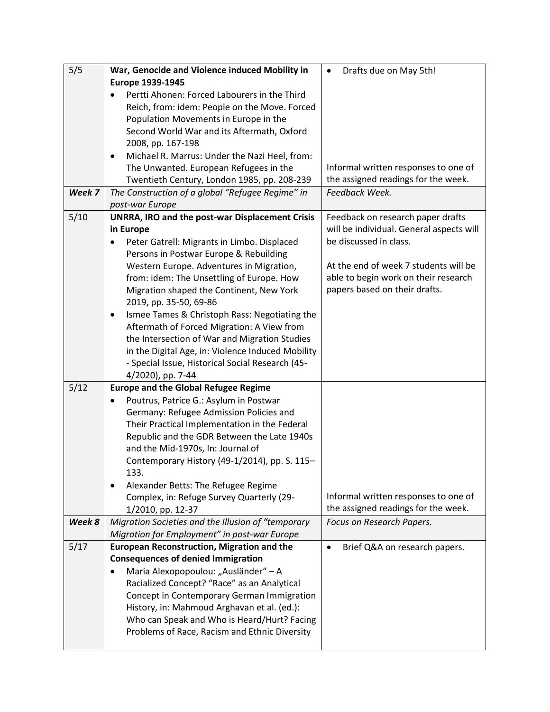| 5/5    | War, Genocide and Violence induced Mobility in                                        | Drafts due on May 5th!<br>$\bullet$                                |
|--------|---------------------------------------------------------------------------------------|--------------------------------------------------------------------|
|        | Europe 1939-1945                                                                      |                                                                    |
|        | Pertti Ahonen: Forced Labourers in the Third                                          |                                                                    |
|        | Reich, from: idem: People on the Move. Forced                                         |                                                                    |
|        | Population Movements in Europe in the                                                 |                                                                    |
|        | Second World War and its Aftermath, Oxford                                            |                                                                    |
|        | 2008, pp. 167-198                                                                     |                                                                    |
|        | Michael R. Marrus: Under the Nazi Heel, from:<br>٠                                    |                                                                    |
|        | The Unwanted. European Refugees in the                                                | Informal written responses to one of                               |
|        | Twentieth Century, London 1985, pp. 208-239                                           | the assigned readings for the week.                                |
| Week 7 | The Construction of a global "Refugee Regime" in                                      | Feedback Week.                                                     |
|        | post-war Europe                                                                       |                                                                    |
| 5/10   | <b>UNRRA, IRO and the post-war Displacement Crisis</b>                                | Feedback on research paper drafts                                  |
|        | in Europe                                                                             | will be individual. General aspects will<br>be discussed in class. |
|        | Peter Gatrell: Migrants in Limbo. Displaced<br>Persons in Postwar Europe & Rebuilding |                                                                    |
|        | Western Europe. Adventures in Migration,                                              | At the end of week 7 students will be                              |
|        | from: idem: The Unsettling of Europe. How                                             | able to begin work on their research                               |
|        | Migration shaped the Continent, New York                                              | papers based on their drafts.                                      |
|        | 2019, pp. 35-50, 69-86                                                                |                                                                    |
|        | Ismee Tames & Christoph Rass: Negotiating the<br>٠                                    |                                                                    |
|        | Aftermath of Forced Migration: A View from                                            |                                                                    |
|        | the Intersection of War and Migration Studies                                         |                                                                    |
|        | in the Digital Age, in: Violence Induced Mobility                                     |                                                                    |
|        | - Special Issue, Historical Social Research (45-                                      |                                                                    |
|        | 4/2020), pp. 7-44                                                                     |                                                                    |
| 5/12   | <b>Europe and the Global Refugee Regime</b>                                           |                                                                    |
|        | Poutrus, Patrice G.: Asylum in Postwar<br>$\bullet$                                   |                                                                    |
|        | Germany: Refugee Admission Policies and                                               |                                                                    |
|        | Their Practical Implementation in the Federal                                         |                                                                    |
|        | Republic and the GDR Between the Late 1940s                                           |                                                                    |
|        | and the Mid-1970s, In: Journal of                                                     |                                                                    |
|        | Contemporary History (49-1/2014), pp. S. 115-<br>133.                                 |                                                                    |
|        | Alexander Betts: The Refugee Regime<br>$\bullet$                                      |                                                                    |
|        | Complex, in: Refuge Survey Quarterly (29-                                             | Informal written responses to one of                               |
|        | 1/2010, pp. 12-37                                                                     | the assigned readings for the week.                                |
| Week 8 | Migration Societies and the Illusion of "temporary                                    | Focus on Research Papers.                                          |
|        | Migration for Employment" in post-war Europe                                          |                                                                    |
| 5/17   | <b>European Reconstruction, Migration and the</b>                                     | Brief Q&A on research papers.<br>$\bullet$                         |
|        | <b>Consequences of denied Immigration</b>                                             |                                                                    |
|        | Maria Alexopopoulou: "Ausländer" – A                                                  |                                                                    |
|        | Racialized Concept? "Race" as an Analytical                                           |                                                                    |
|        | Concept in Contemporary German Immigration                                            |                                                                    |
|        | History, in: Mahmoud Arghavan et al. (ed.):                                           |                                                                    |
|        | Who can Speak and Who is Heard/Hurt? Facing                                           |                                                                    |
|        | Problems of Race, Racism and Ethnic Diversity                                         |                                                                    |
|        |                                                                                       |                                                                    |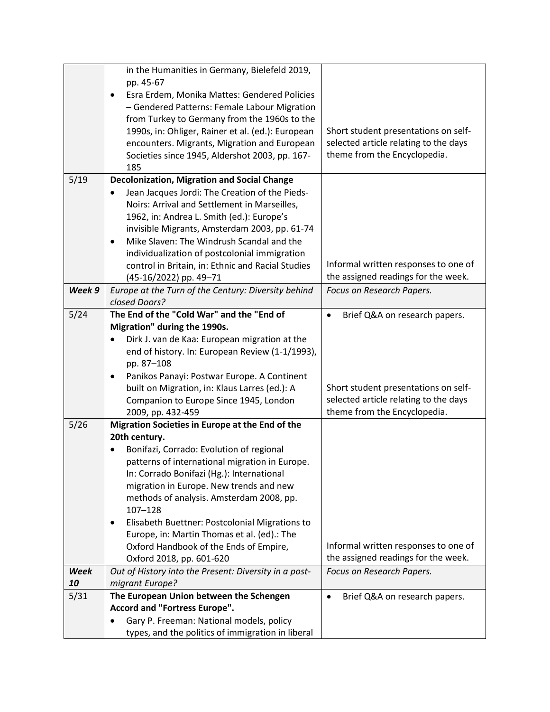|             | in the Humanities in Germany, Bielefeld 2019,               |                                            |
|-------------|-------------------------------------------------------------|--------------------------------------------|
|             | pp. 45-67                                                   |                                            |
|             | Esra Erdem, Monika Mattes: Gendered Policies<br>٠           |                                            |
|             | - Gendered Patterns: Female Labour Migration                |                                            |
|             | from Turkey to Germany from the 1960s to the                |                                            |
|             | 1990s, in: Ohliger, Rainer et al. (ed.): European           | Short student presentations on self-       |
|             | encounters. Migrants, Migration and European                | selected article relating to the days      |
|             | Societies since 1945, Aldershot 2003, pp. 167-              | theme from the Encyclopedia.               |
|             | 185                                                         |                                            |
| 5/19        | <b>Decolonization, Migration and Social Change</b>          |                                            |
|             | Jean Jacques Jordi: The Creation of the Pieds-<br>$\bullet$ |                                            |
|             | Noirs: Arrival and Settlement in Marseilles,                |                                            |
|             | 1962, in: Andrea L. Smith (ed.): Europe's                   |                                            |
|             | invisible Migrants, Amsterdam 2003, pp. 61-74               |                                            |
|             | Mike Slaven: The Windrush Scandal and the<br>$\bullet$      |                                            |
|             | individualization of postcolonial immigration               |                                            |
|             | control in Britain, in: Ethnic and Racial Studies           | Informal written responses to one of       |
|             | (45-16/2022) pp. 49-71                                      | the assigned readings for the week.        |
| Week 9      | Europe at the Turn of the Century: Diversity behind         | Focus on Research Papers.                  |
|             | closed Doors?                                               |                                            |
| 5/24        | The End of the "Cold War" and the "End of                   | Brief Q&A on research papers.<br>$\bullet$ |
|             | Migration" during the 1990s.                                |                                            |
|             | Dirk J. van de Kaa: European migration at the               |                                            |
|             | end of history. In: European Review (1-1/1993),             |                                            |
|             | pp. 87-108                                                  |                                            |
|             | Panikos Panayi: Postwar Europe. A Continent<br>$\bullet$    |                                            |
|             | built on Migration, in: Klaus Larres (ed.): A               | Short student presentations on self-       |
|             | Companion to Europe Since 1945, London                      | selected article relating to the days      |
|             | 2009, pp. 432-459                                           | theme from the Encyclopedia.               |
| 5/26        | Migration Societies in Europe at the End of the             |                                            |
|             | 20th century.                                               |                                            |
|             | Bonifazi, Corrado: Evolution of regional                    |                                            |
|             | patterns of international migration in Europe.              |                                            |
|             | In: Corrado Bonifazi (Hg.): International                   |                                            |
|             | migration in Europe. New trends and new                     |                                            |
|             | methods of analysis. Amsterdam 2008, pp.                    |                                            |
|             | $107 - 128$                                                 |                                            |
|             | Elisabeth Buettner: Postcolonial Migrations to<br>٠         |                                            |
|             | Europe, in: Martin Thomas et al. (ed).: The                 |                                            |
|             | Oxford Handbook of the Ends of Empire,                      | Informal written responses to one of       |
|             | Oxford 2018, pp. 601-620                                    | the assigned readings for the week.        |
| <b>Week</b> | Out of History into the Present: Diversity in a post-       | Focus on Research Papers.                  |
| 10          | migrant Europe?                                             |                                            |
| 5/31        | The European Union between the Schengen                     | Brief Q&A on research papers.<br>$\bullet$ |
|             | Accord and "Fortress Europe".                               |                                            |
|             | Gary P. Freeman: National models, policy<br>$\bullet$       |                                            |
|             | types, and the politics of immigration in liberal           |                                            |